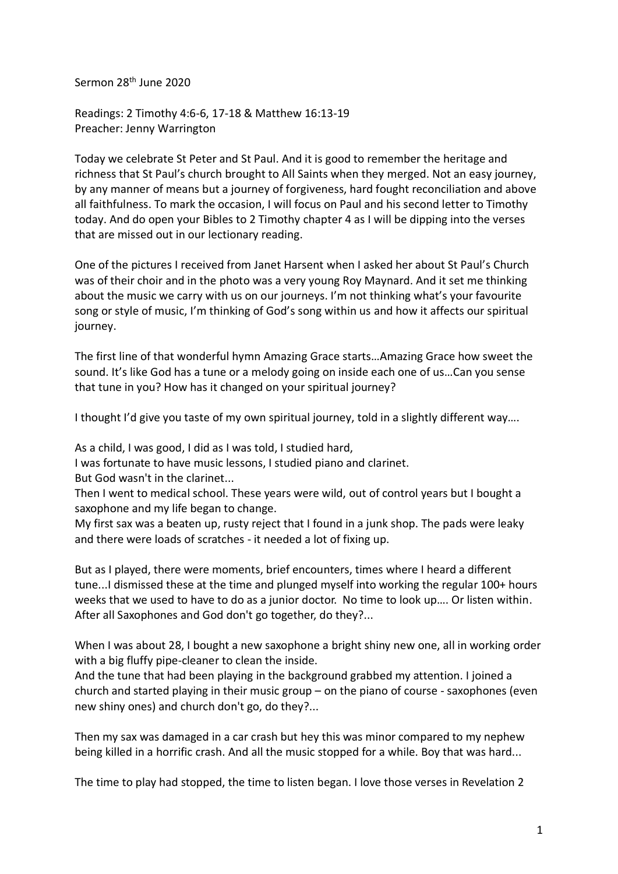Sermon 28th June 2020

Readings: 2 Timothy 4:6-6, 17-18 & Matthew 16:13-19 Preacher: Jenny Warrington

Today we celebrate St Peter and St Paul. And it is good to remember the heritage and richness that St Paul's church brought to All Saints when they merged. Not an easy journey, by any manner of means but a journey of forgiveness, hard fought reconciliation and above all faithfulness. To mark the occasion, I will focus on Paul and his second letter to Timothy today. And do open your Bibles to 2 Timothy chapter 4 as I will be dipping into the verses that are missed out in our lectionary reading.

One of the pictures I received from Janet Harsent when I asked her about St Paul's Church was of their choir and in the photo was a very young Roy Maynard. And it set me thinking about the music we carry with us on our journeys. I'm not thinking what's your favourite song or style of music, I'm thinking of God's song within us and how it affects our spiritual journey.

The first line of that wonderful hymn Amazing Grace starts…Amazing Grace how sweet the sound. It's like God has a tune or a melody going on inside each one of us…Can you sense that tune in you? How has it changed on your spiritual journey?

I thought I'd give you taste of my own spiritual journey, told in a slightly different way....

As a child, I was good, I did as I was told, I studied hard,

I was fortunate to have music lessons, I studied piano and clarinet.

But God wasn't in the clarinet...

Then I went to medical school. These years were wild, out of control years but I bought a saxophone and my life began to change.

My first sax was a beaten up, rusty reject that I found in a junk shop. The pads were leaky and there were loads of scratches - it needed a lot of fixing up.

But as I played, there were moments, brief encounters, times where I heard a different tune...I dismissed these at the time and plunged myself into working the regular 100+ hours weeks that we used to have to do as a junior doctor. No time to look up…. Or listen within. After all Saxophones and God don't go together, do they?...

When I was about 28, I bought a new saxophone a bright shiny new one, all in working order with a big fluffy pipe-cleaner to clean the inside.

And the tune that had been playing in the background grabbed my attention. I joined a church and started playing in their music group – on the piano of course - saxophones (even new shiny ones) and church don't go, do they?...

Then my sax was damaged in a car crash but hey this was minor compared to my nephew being killed in a horrific crash. And all the music stopped for a while. Boy that was hard...

The time to play had stopped, the time to listen began. I love those verses in Revelation 2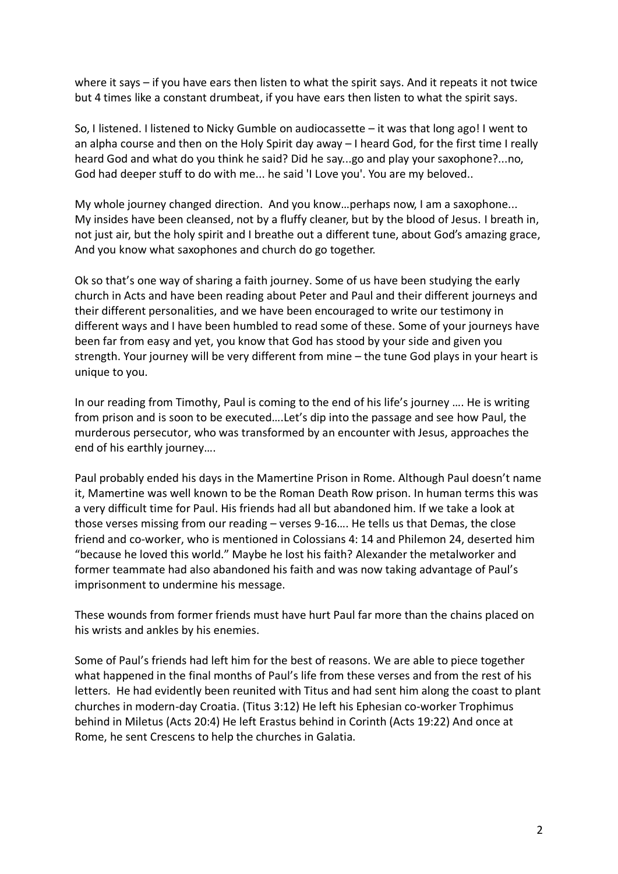where it says – if you have ears then listen to what the spirit says. And it repeats it not twice but 4 times like a constant drumbeat, if you have ears then listen to what the spirit says.

So, I listened. I listened to Nicky Gumble on audiocassette – it was that long ago! I went to an alpha course and then on the Holy Spirit day away – I heard God, for the first time I really heard God and what do you think he said? Did he say...go and play your saxophone?...no, God had deeper stuff to do with me... he said 'I Love you'. You are my beloved..

My whole journey changed direction. And you know…perhaps now, I am a saxophone... My insides have been cleansed, not by a fluffy cleaner, but by the blood of Jesus. I breath in, not just air, but the holy spirit and I breathe out a different tune, about God's amazing grace, And you know what saxophones and church do go together.

Ok so that's one way of sharing a faith journey. Some of us have been studying the early church in Acts and have been reading about Peter and Paul and their different journeys and their different personalities, and we have been encouraged to write our testimony in different ways and I have been humbled to read some of these. Some of your journeys have been far from easy and yet, you know that God has stood by your side and given you strength. Your journey will be very different from mine – the tune God plays in your heart is unique to you.

In our reading from Timothy, Paul is coming to the end of his life's journey …. He is writing from prison and is soon to be executed….Let's dip into the passage and see how Paul, the murderous persecutor, who was transformed by an encounter with Jesus, approaches the end of his earthly journey….

Paul probably ended his days in the Mamertine Prison in Rome. Although Paul doesn't name it, Mamertine was well known to be the Roman Death Row prison. In human terms this was a very difficult time for Paul. His friends had all but abandoned him. If we take a look at those verses missing from our reading – verses 9-16…. He tells us that Demas, the close friend and co-worker, who is mentioned in Colossians 4: 14 and Philemon 24, deserted him "because he loved this world." Maybe he lost his faith? Alexander the metalworker and former teammate had also abandoned his faith and was now taking advantage of Paul's imprisonment to undermine his message.

These wounds from former friends must have hurt Paul far more than the chains placed on his wrists and ankles by his enemies.

Some of Paul's friends had left him for the best of reasons. We are able to piece together what happened in the final months of Paul's life from these verses and from the rest of his letters. He had evidently been reunited with Titus and had sent him along the coast to plant churches in modern-day Croatia. (Titus 3:12) He left his Ephesian co-worker Trophimus behind in Miletus (Acts 20:4) He left Erastus behind in Corinth (Acts 19:22) And once at Rome, he sent Crescens to help the churches in Galatia.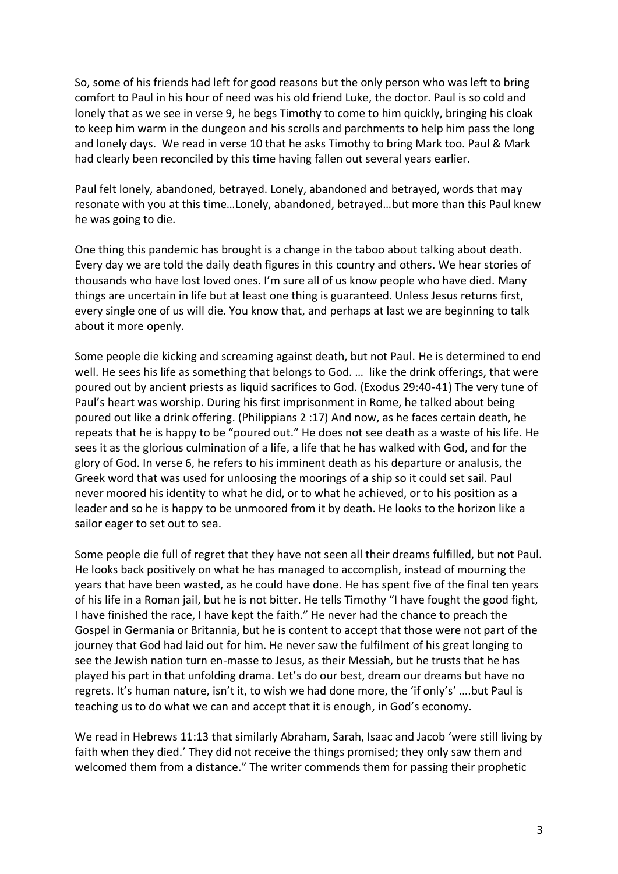So, some of his friends had left for good reasons but the only person who was left to bring comfort to Paul in his hour of need was his old friend Luke, the doctor. Paul is so cold and lonely that as we see in verse 9, he begs Timothy to come to him quickly, bringing his cloak to keep him warm in the dungeon and his scrolls and parchments to help him pass the long and lonely days. We read in verse 10 that he asks Timothy to bring Mark too. Paul & Mark had clearly been reconciled by this time having fallen out several years earlier.

Paul felt lonely, abandoned, betrayed. Lonely, abandoned and betrayed, words that may resonate with you at this time…Lonely, abandoned, betrayed…but more than this Paul knew he was going to die.

One thing this pandemic has brought is a change in the taboo about talking about death. Every day we are told the daily death figures in this country and others. We hear stories of thousands who have lost loved ones. I'm sure all of us know people who have died. Many things are uncertain in life but at least one thing is guaranteed. Unless Jesus returns first, every single one of us will die. You know that, and perhaps at last we are beginning to talk about it more openly.

Some people die kicking and screaming against death, but not Paul. He is determined to end well. He sees his life as something that belongs to God. … like the drink offerings, that were poured out by ancient priests as liquid sacrifices to God. (Exodus 29:40-41) The very tune of Paul's heart was worship. During his first imprisonment in Rome, he talked about being poured out like a drink offering. (Philippians 2 :17) And now, as he faces certain death, he repeats that he is happy to be "poured out." He does not see death as a waste of his life. He sees it as the glorious culmination of a life, a life that he has walked with God, and for the glory of God. In verse 6, he refers to his imminent death as his departure or analusis, the Greek word that was used for unloosing the moorings of a ship so it could set sail. Paul never moored his identity to what he did, or to what he achieved, or to his position as a leader and so he is happy to be unmoored from it by death. He looks to the horizon like a sailor eager to set out to sea.

Some people die full of regret that they have not seen all their dreams fulfilled, but not Paul. He looks back positively on what he has managed to accomplish, instead of mourning the years that have been wasted, as he could have done. He has spent five of the final ten years of his life in a Roman jail, but he is not bitter. He tells Timothy "I have fought the good fight, I have finished the race, I have kept the faith." He never had the chance to preach the Gospel in Germania or Britannia, but he is content to accept that those were not part of the journey that God had laid out for him. He never saw the fulfilment of his great longing to see the Jewish nation turn en-masse to Jesus, as their Messiah, but he trusts that he has played his part in that unfolding drama. Let's do our best, dream our dreams but have no regrets. It's human nature, isn't it, to wish we had done more, the 'if only's' ….but Paul is teaching us to do what we can and accept that it is enough, in God's economy.

We read in Hebrews 11:13 that similarly Abraham, Sarah, Isaac and Jacob 'were still living by faith when they died.' They did not receive the things promised; they only saw them and welcomed them from a distance." The writer commends them for passing their prophetic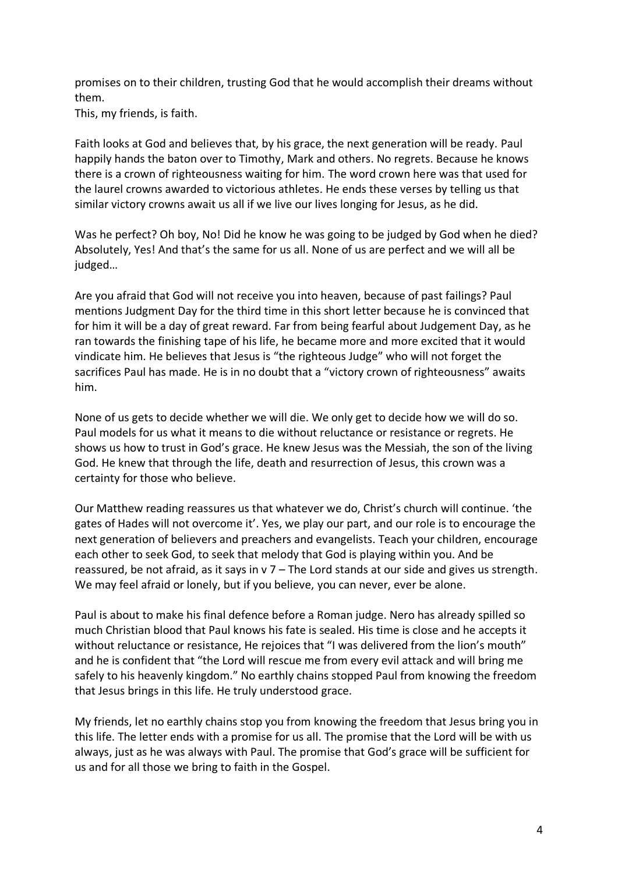promises on to their children, trusting God that he would accomplish their dreams without them.

This, my friends, is faith.

Faith looks at God and believes that, by his grace, the next generation will be ready. Paul happily hands the baton over to Timothy, Mark and others. No regrets. Because he knows there is a crown of righteousness waiting for him. The word crown here was that used for the laurel crowns awarded to victorious athletes. He ends these verses by telling us that similar victory crowns await us all if we live our lives longing for Jesus, as he did.

Was he perfect? Oh boy, No! Did he know he was going to be judged by God when he died? Absolutely, Yes! And that's the same for us all. None of us are perfect and we will all be judged…

Are you afraid that God will not receive you into heaven, because of past failings? Paul mentions Judgment Day for the third time in this short letter because he is convinced that for him it will be a day of great reward. Far from being fearful about Judgement Day, as he ran towards the finishing tape of his life, he became more and more excited that it would vindicate him. He believes that Jesus is "the righteous Judge" who will not forget the sacrifices Paul has made. He is in no doubt that a "victory crown of righteousness" awaits him.

None of us gets to decide whether we will die. We only get to decide how we will do so. Paul models for us what it means to die without reluctance or resistance or regrets. He shows us how to trust in God's grace. He knew Jesus was the Messiah, the son of the living God. He knew that through the life, death and resurrection of Jesus, this crown was a certainty for those who believe.

Our Matthew reading reassures us that whatever we do, Christ's church will continue. 'the gates of Hades will not overcome it'. Yes, we play our part, and our role is to encourage the next generation of believers and preachers and evangelists. Teach your children, encourage each other to seek God, to seek that melody that God is playing within you. And be reassured, be not afraid, as it says in v 7 – The Lord stands at our side and gives us strength. We may feel afraid or lonely, but if you believe, you can never, ever be alone.

Paul is about to make his final defence before a Roman judge. Nero has already spilled so much Christian blood that Paul knows his fate is sealed. His time is close and he accepts it without reluctance or resistance, He rejoices that "I was delivered from the lion's mouth" and he is confident that "the Lord will rescue me from every evil attack and will bring me safely to his heavenly kingdom." No earthly chains stopped Paul from knowing the freedom that Jesus brings in this life. He truly understood grace.

My friends, let no earthly chains stop you from knowing the freedom that Jesus bring you in this life. The letter ends with a promise for us all. The promise that the Lord will be with us always, just as he was always with Paul. The promise that God's grace will be sufficient for us and for all those we bring to faith in the Gospel.